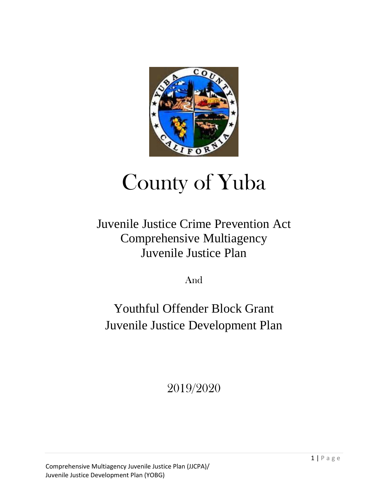

# County of Yuba

# Juvenile Justice Crime Prevention Act Comprehensive Multiagency Juvenile Justice Plan

And

# Youthful Offender Block Grant Juvenile Justice Development Plan

2019/2020

Comprehensive Multiagency Juvenile Justice Plan (JJCPA)/ Juvenile Justice Development Plan (YOBG)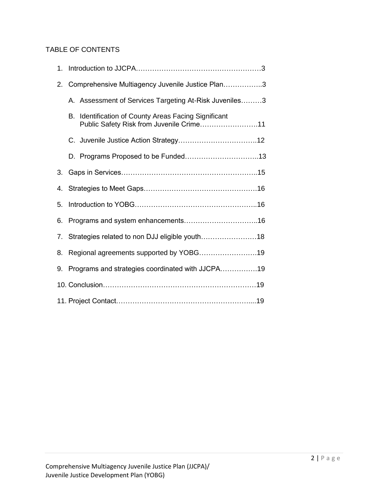## TABLE OF CONTENTS

| 1. |                                                  |                                                                                               |  |
|----|--------------------------------------------------|-----------------------------------------------------------------------------------------------|--|
| 2. | Comprehensive Multiagency Juvenile Justice Plan3 |                                                                                               |  |
|    |                                                  | A. Assessment of Services Targeting At-Risk Juveniles3                                        |  |
|    | В.                                               | Identification of County Areas Facing Significant<br>Public Safety Risk from Juvenile Crime11 |  |
|    |                                                  |                                                                                               |  |
|    |                                                  |                                                                                               |  |
| 3. |                                                  |                                                                                               |  |
| 4. |                                                  |                                                                                               |  |
| 5. |                                                  |                                                                                               |  |
| 6. |                                                  |                                                                                               |  |
| 7. | Strategies related to non DJJ eligible youth18   |                                                                                               |  |
| 8. | Regional agreements supported by YOBG19          |                                                                                               |  |
| 9. | Programs and strategies coordinated with JJCPA19 |                                                                                               |  |
|    |                                                  |                                                                                               |  |
|    |                                                  |                                                                                               |  |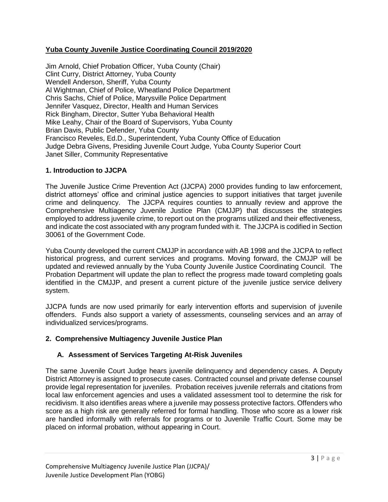#### **Yuba County Juvenile Justice Coordinating Council 2019/2020**

Jim Arnold, Chief Probation Officer, Yuba County (Chair) Clint Curry, District Attorney, Yuba County Wendell Anderson, Sheriff, Yuba County Al Wightman, Chief of Police, Wheatland Police Department Chris Sachs, Chief of Police, Marysville Police Department Jennifer Vasquez, Director, Health and Human Services Rick Bingham, Director, Sutter Yuba Behavioral Health Mike Leahy, Chair of the Board of Supervisors, Yuba County Brian Davis, Public Defender, Yuba County Francisco Reveles, Ed.D., Superintendent, Yuba County Office of Education Judge Debra Givens, Presiding Juvenile Court Judge, Yuba County Superior Court Janet Siller, Community Representative

#### **1. Introduction to JJCPA**

The Juvenile Justice Crime Prevention Act (JJCPA) 2000 provides funding to law enforcement, district attorneys' office and criminal justice agencies to support initiatives that target juvenile crime and delinquency. The JJCPA requires counties to annually review and approve the Comprehensive Multiagency Juvenile Justice Plan (CMJJP) that discusses the strategies employed to address juvenile crime, to report out on the programs utilized and their effectiveness, and indicate the cost associated with any program funded with it. The JJCPA is codified in Section 30061 of the Government Code.

Yuba County developed the current CMJJP in accordance with AB 1998 and the JJCPA to reflect historical progress, and current services and programs. Moving forward, the CMJJP will be updated and reviewed annually by the Yuba County Juvenile Justice Coordinating Council. The Probation Department will update the plan to reflect the progress made toward completing goals identified in the CMJJP, and present a current picture of the juvenile justice service delivery system.

JJCPA funds are now used primarily for early intervention efforts and supervision of juvenile offenders. Funds also support a variety of assessments, counseling services and an array of individualized services/programs.

# **2. Comprehensive Multiagency Juvenile Justice Plan**

# **A. Assessment of Services Targeting At-Risk Juveniles**

The same Juvenile Court Judge hears juvenile delinquency and dependency cases. A Deputy District Attorney is assigned to prosecute cases. Contracted counsel and private defense counsel provide legal representation for juveniles. Probation receives juvenile referrals and citations from local law enforcement agencies and uses a validated assessment tool to determine the risk for recidivism. It also identifies areas where a juvenile may possess protective factors. Offenders who score as a high risk are generally referred for formal handling. Those who score as a lower risk are handled informally with referrals for programs or to Juvenile Traffic Court. Some may be placed on informal probation, without appearing in Court.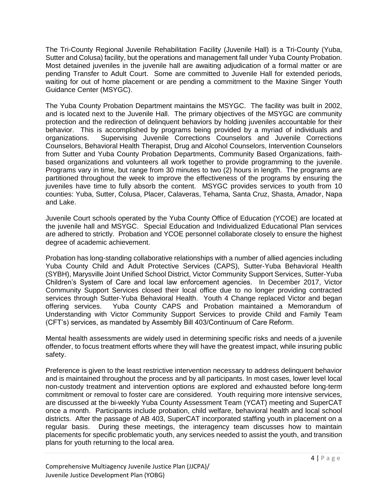The Tri-County Regional Juvenile Rehabilitation Facility (Juvenile Hall) is a Tri-County (Yuba, Sutter and Colusa) facility, but the operations and management fall under Yuba County Probation. Most detained juveniles in the juvenile hall are awaiting adjudication of a formal matter or are pending Transfer to Adult Court. Some are committed to Juvenile Hall for extended periods, waiting for out of home placement or are pending a commitment to the Maxine Singer Youth Guidance Center (MSYGC).

The Yuba County Probation Department maintains the MSYGC. The facility was built in 2002, and is located next to the Juvenile Hall. The primary objectives of the MSYGC are community protection and the redirection of delinquent behaviors by holding juveniles accountable for their behavior. This is accomplished by programs being provided by a myriad of individuals and organizations. Supervising Juvenile Corrections Counselors and Juvenile Corrections Counselors, Behavioral Health Therapist, Drug and Alcohol Counselors, Intervention Counselors from Sutter and Yuba County Probation Departments, Community Based Organizations, faithbased organizations and volunteers all work together to provide programming to the juvenile. Programs vary in time, but range from 30 minutes to two (2) hours in length. The programs are partitioned throughout the week to improve the effectiveness of the programs by ensuring the juveniles have time to fully absorb the content. MSYGC provides services to youth from 10 counties: Yuba, Sutter, Colusa, Placer, Calaveras, Tehama, Santa Cruz, Shasta, Amador, Napa and Lake.

Juvenile Court schools operated by the Yuba County Office of Education (YCOE) are located at the juvenile hall and MSYGC. Special Education and Individualized Educational Plan services are adhered to strictly. Probation and YCOE personnel collaborate closely to ensure the highest degree of academic achievement.

Probation has long-standing collaborative relationships with a number of allied agencies including Yuba County Child and Adult Protective Services (CAPS), Sutter-Yuba Behavioral Health (SYBH), Marysville Joint Unified School District, Victor Community Support Services, Sutter-Yuba Children's System of Care and local law enforcement agencies. In December 2017, Victor Community Support Services closed their local office due to no longer providing contracted services through Sutter-Yuba Behavioral Health. Youth 4 Change replaced Victor and began offering services. Yuba County CAPS and Probation maintained a Memorandum of Understanding with Victor Community Support Services to provide Child and Family Team (CFT's) services, as mandated by Assembly Bill 403/Continuum of Care Reform.

Mental health assessments are widely used in determining specific risks and needs of a juvenile offender, to focus treatment efforts where they will have the greatest impact, while insuring public safety.

Preference is given to the least restrictive intervention necessary to address delinquent behavior and is maintained throughout the process and by all participants. In most cases, lower level local non-custody treatment and intervention options are explored and exhausted before long-term commitment or removal to foster care are considered. Youth requiring more intensive services, are discussed at the bi-weekly Yuba County Assessment Team (YCAT) meeting and SuperCAT once a month. Participants include probation, child welfare, behavioral health and local school districts. After the passage of AB 403, SuperCAT incorporated staffing youth in placement on a regular basis. During these meetings, the interagency team discusses how to maintain placements for specific problematic youth, any services needed to assist the youth, and transition plans for youth returning to the local area.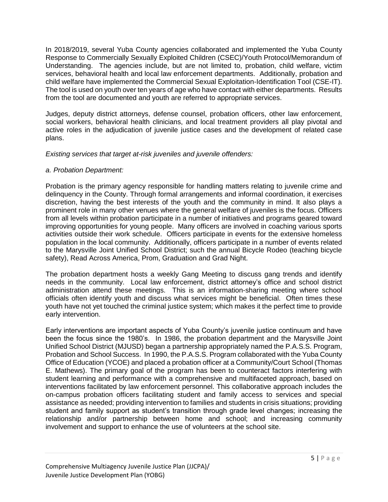In 2018/2019, several Yuba County agencies collaborated and implemented the Yuba County Response to Commercially Sexually Exploited Children (CSEC)/Youth Protocol/Memorandum of Understanding. The agencies include, but are not limited to, probation, child welfare, victim services, behavioral health and local law enforcement departments. Additionally, probation and child welfare have implemented the Commercial Sexual Exploitation-Identification Tool (CSE-IT). The tool is used on youth over ten years of age who have contact with either departments. Results from the tool are documented and youth are referred to appropriate services.

Judges, deputy district attorneys, defense counsel, probation officers, other law enforcement, social workers, behavioral health clinicians, and local treatment providers all play pivotal and active roles in the adjudication of juvenile justice cases and the development of related case plans.

*Existing services that target at-risk juveniles and juvenile offenders:*

#### *a. Probation Department:*

Probation is the primary agency responsible for handling matters relating to juvenile crime and delinquency in the County. Through formal arrangements and informal coordination, it exercises discretion, having the best interests of the youth and the community in mind. It also plays a prominent role in many other venues where the general welfare of juveniles is the focus. Officers from all levels within probation participate in a number of initiatives and programs geared toward improving opportunities for young people. Many officers are involved in coaching various sports activities outside their work schedule. Officers participate in events for the extensive homeless population in the local community. Additionally, officers participate in a number of events related to the Marysville Joint Unified School District; such the annual Bicycle Rodeo (teaching bicycle safety), Read Across America, Prom, Graduation and Grad Night.

The probation department hosts a weekly Gang Meeting to discuss gang trends and identify needs in the community. Local law enforcement, district attorney's office and school district administration attend these meetings. This is an information-sharing meeting where school officials often identify youth and discuss what services might be beneficial. Often times these youth have not yet touched the criminal justice system; which makes it the perfect time to provide early intervention.

Early interventions are important aspects of Yuba County's juvenile justice continuum and have been the focus since the 1980's. In 1986, the probation department and the Marysville Joint Unified School District (MJUSD) began a partnership appropriately named the P.A.S.S. Program, Probation and School Success. In 1990, the P.A.S.S. Program collaborated with the Yuba County Office of Education (YCOE) and placed a probation officer at a Community/Court School (Thomas E. Mathews). The primary goal of the program has been to counteract factors interfering with student learning and performance with a comprehensive and multifaceted approach, based on interventions facilitated by law enforcement personnel. This collaborative approach includes the on-campus probation officers facilitating student and family access to services and special assistance as needed; providing intervention to families and students in crisis situations; providing student and family support as student's transition through grade level changes; increasing the relationship and/or partnership between home and school; and increasing community involvement and support to enhance the use of volunteers at the school site.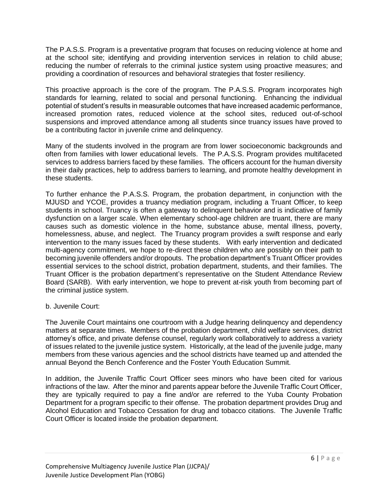The P.A.S.S. Program is a preventative program that focuses on reducing violence at home and at the school site; identifying and providing intervention services in relation to child abuse; reducing the number of referrals to the criminal justice system using proactive measures; and providing a coordination of resources and behavioral strategies that foster resiliency.

This proactive approach is the core of the program. The P.A.S.S. Program incorporates high standards for learning, related to social and personal functioning. Enhancing the individual potential of student's results in measurable outcomes that have increased academic performance, increased promotion rates, reduced violence at the school sites, reduced out-of-school suspensions and improved attendance among all students since truancy issues have proved to be a contributing factor in juvenile crime and delinquency.

Many of the students involved in the program are from lower socioeconomic backgrounds and often from families with lower educational levels. The P.A.S.S. Program provides multifaceted services to address barriers faced by these families. The officers account for the human diversity in their daily practices, help to address barriers to learning, and promote healthy development in these students.

To further enhance the P.A.S.S. Program, the probation department, in conjunction with the MJUSD and YCOE, provides a truancy mediation program, including a Truant Officer, to keep students in school. Truancy is often a gateway to delinquent behavior and is indicative of family dysfunction on a larger scale. When elementary school-age children are truant, there are many causes such as domestic violence in the home, substance abuse, mental illness, poverty, homelessness, abuse, and neglect. The Truancy program provides a swift response and early intervention to the many issues faced by these students. With early intervention and dedicated multi-agency commitment, we hope to re-direct these children who are possibly on their path to becoming juvenile offenders and/or dropouts. The probation department's Truant Officer provides essential services to the school district, probation department, students, and their families. The Truant Officer is the probation department's representative on the Student Attendance Review Board (SARB). With early intervention, we hope to prevent at-risk youth from becoming part of the criminal justice system.

#### b. Juvenile Court:

The Juvenile Court maintains one courtroom with a Judge hearing delinquency and dependency matters at separate times. Members of the probation department, child welfare services, district attorney's office, and private defense counsel, regularly work collaboratively to address a variety of issues related to the juvenile justice system. Historically, at the lead of the juvenile judge, many members from these various agencies and the school districts have teamed up and attended the annual Beyond the Bench Conference and the Foster Youth Education Summit.

In addition, the Juvenile Traffic Court Officer sees minors who have been cited for various infractions of the law. After the minor and parents appear before the Juvenile Traffic Court Officer, they are typically required to pay a fine and/or are referred to the Yuba County Probation Department for a program specific to their offense. The probation department provides Drug and Alcohol Education and Tobacco Cessation for drug and tobacco citations. The Juvenile Traffic Court Officer is located inside the probation department.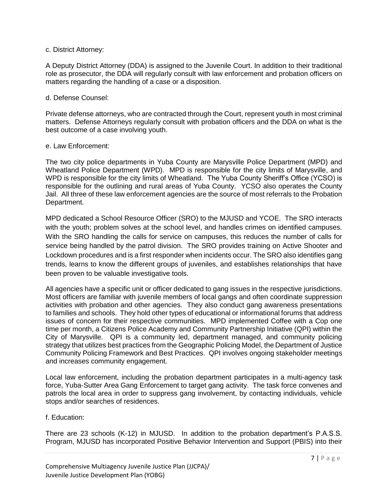#### c. District Attorney:

A Deputy District Attorney (DDA) is assigned to the Juvenile Court. In addition to their traditional role as prosecutor, the DDA will regularly consult with law enforcement and probation officers on matters regarding the handling of a case or a disposition.

#### d. Defense Counsel:

Private defense attorneys, who are contracted through the Court, represent youth in most criminal matters. Defense Attorneys regularly consult with probation officers and the DDA on what is the best outcome of a case involving youth.

#### e. Law Enforcement:

The two city police departments in Yuba County are Marysville Police Department (MPD) and Wheatland Police Department (WPD). MPD is responsible for the city limits of Marysville, and WPD is responsible for the city limits of Wheatland. The Yuba County Sheriff's Office (YCSO) is responsible for the outlining and rural areas of Yuba County. YCSO also operates the County Jail. All three of these law enforcement agencies are the source of most referrals to the Probation Department.

MPD dedicated a School Resource Officer (SRO) to the MJUSD and YCOE. The SRO interacts with the youth; problem solves at the school level, and handles crimes on identified campuses. With the SRO handling the calls for service on campuses, this reduces the number of calls for service being handled by the patrol division. The SRO provides training on Active Shooter and Lockdown procedures and is a first responder when incidents occur. The SRO also identifies gang trends, learns to know the different groups of juveniles, and establishes relationships that have been proven to be valuable investigative tools.

All agencies have a specific unit or officer dedicated to gang issues in the respective jurisdictions. Most officers are familiar with juvenile members of local gangs and often coordinate suppression activities with probation and other agencies. They also conduct gang awareness presentations to families and schools. They hold other types of educational or informational forums that address issues of concern for their respective communities. MPD implemented Coffee with a Cop one time per month, a Citizens Police Academy and Community Partnership Initiative (QPI) within the City of Marysville. QPI is a community led, department managed, and community policing strategy that utilizes best practices from the Geographic Policing Model, the Department of Justice Community Policing Framework and Best Practices. QPI involves ongoing stakeholder meetings and increases community engagement.

Local law enforcement, including the probation department participates in a multi-agency task force, Yuba-Sutter Area Gang Enforcement to target gang activity. The task force convenes and patrols the local area in order to suppress gang involvement, by contacting individuals, vehicle stops and/or searches of residences.

#### f. Education:

There are 23 schools (K-12) in MJUSD. In addition to the probation department's P.A.S.S. Program, MJUSD has incorporated Positive Behavior Intervention and Support (PBIS) into their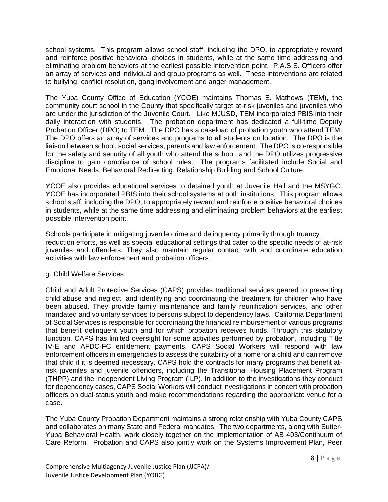school systems. This program allows school staff, including the DPO, to appropriately reward and reinforce positive behavioral choices in students, while at the same time addressing and eliminating problem behaviors at the earliest possible intervention point. P.A.S.S. Officers offer an array of services and individual and group programs as well. These interventions are related to bullying, conflict resolution, gang involvement and anger management.

The Yuba County Office of Education (YCOE) maintains Thomas E. Mathews (TEM), the community court school in the County that specifically target at-risk juveniles and juveniles who are under the jurisdiction of the Juvenile Court. Like MJUSD, TEM incorporated PBIS into their daily interaction with students. The probation department has dedicated a full-time Deputy Probation Officer (DPO) to TEM. The DPO has a caseload of probation youth who attend TEM. The DPO offers an array of services and programs to all students on location. The DPO is the liaison between school, social services, parents and law enforcement. The DPO is co-responsible for the safety and security of all youth who attend the school, and the DPO utilizes progressive discipline to gain compliance of school rules. The programs facilitated include Social and Emotional Needs, Behavioral Redirecting, Relationship Building and School Culture.

YCOE also provides educational services to detained youth at Juvenile Hall and the MSYGC. YCOE has incorporated PBIS into their school systems at both institutions. This program allows school staff, including the DPO, to appropriately reward and reinforce positive behavioral choices in students, while at the same time addressing and eliminating problem behaviors at the earliest possible intervention point.

Schools participate in mitigating juvenile crime and delinquency primarily through truancy reduction efforts, as well as special educational settings that cater to the specific needs of at-risk juveniles and offenders. They also maintain regular contact with and coordinate education activities with law enforcement and probation officers.

g. Child Welfare Services:

Child and Adult Protective Services (CAPS) provides traditional services geared to preventing child abuse and neglect, and identifying and coordinating the treatment for children who have been abused. They provide family maintenance and family reunification services, and other mandated and voluntary services to persons subject to dependency laws. California Department of Social Services is responsible for coordinating the financial reimbursement of various programs that benefit delinquent youth and for which probation receives funds. Through this statutory function, CAPS has limited oversight for some activities performed by probation, including Title IV-E and AFDC-FC entitlement payments. CAPS Social Workers will respond with law enforcement officers in emergencies to assess the suitability of a home for a child and can remove that child if it is deemed necessary. CAPS hold the contracts for many programs that benefit atrisk juveniles and juvenile offenders, including the Transitional Housing Placement Program (THPP) and the Independent Living Program (ILP). In addition to the investigations they conduct for dependency cases, CAPS Social Workers will conduct investigations in concert with probation officers on dual-status youth and make recommendations regarding the appropriate venue for a case.

The Yuba County Probation Department maintains a strong relationship with Yuba County CAPS and collaborates on many State and Federal mandates. The two departments, along with Sutter-Yuba Behavioral Health, work closely together on the implementation of AB 403/Continuum of Care Reform. Probation and CAPS also jointly work on the Systems Improvement Plan, Peer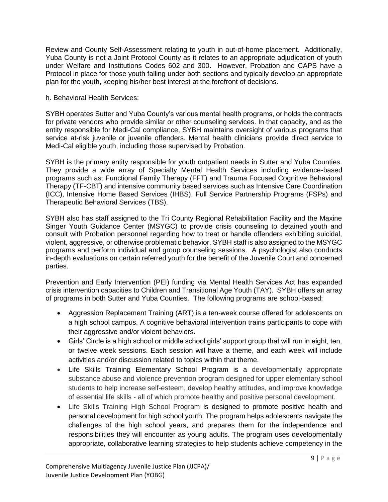Review and County Self-Assessment relating to youth in out-of-home placement. Additionally, Yuba County is not a Joint Protocol County as it relates to an appropriate adjudication of youth under Welfare and Institutions Codes 602 and 300. However, Probation and CAPS have a Protocol in place for those youth falling under both sections and typically develop an appropriate plan for the youth, keeping his/her best interest at the forefront of decisions.

#### h. Behavioral Health Services:

SYBH operates Sutter and Yuba County's various mental health programs, or holds the contracts for private vendors who provide similar or other counseling services. In that capacity, and as the entity responsible for Medi-Cal compliance, SYBH maintains oversight of various programs that service at-risk juvenile or juvenile offenders. Mental health clinicians provide direct service to Medi-Cal eligible youth, including those supervised by Probation.

SYBH is the primary entity responsible for youth outpatient needs in Sutter and Yuba Counties. They provide a wide array of Specialty Mental Health Services including evidence-based programs such as: Functional Family Therapy (FFT) and Trauma Focused Cognitive Behavioral Therapy (TF-CBT) and intensive community based services such as Intensive Care Coordination (ICC), Intensive Home Based Services (IHBS), Full Service Partnership Programs (FSPs) and Therapeutic Behavioral Services (TBS).

SYBH also has staff assigned to the Tri County Regional Rehabilitation Facility and the Maxine Singer Youth Guidance Center (MSYGC) to provide crisis counseling to detained youth and consult with Probation personnel regarding how to treat or handle offenders exhibiting suicidal, violent, aggressive, or otherwise problematic behavior. SYBH staff is also assigned to the MSYGC programs and perform individual and group counseling sessions. A psychologist also conducts in-depth evaluations on certain referred youth for the benefit of the Juvenile Court and concerned parties.

Prevention and Early Intervention (PEI) funding via Mental Health Services Act has expanded crisis intervention capacities to Children and Transitional Age Youth (TAY). SYBH offers an array of programs in both Sutter and Yuba Counties. The following programs are school-based:

- Aggression Replacement Training (ART) is a ten-week course offered for adolescents on a high school campus. A cognitive behavioral intervention trains participants to cope with their aggressive and/or violent behaviors.
- Girls' Circle is a high school or middle school girls' support group that will run in eight, ten, or twelve week sessions. Each session will have a theme, and each week will include activities and/or discussion related to topics within that theme.
- Life Skills Training Elementary School Program is a developmentally appropriate substance abuse and violence prevention program designed for upper elementary school students to help increase self-esteem, develop healthy attitudes, and improve knowledge of essential life skills - all of which promote healthy and positive personal development.
- Life Skills Training High School Program is designed to promote positive health and personal development for high school youth. The program helps adolescents navigate the challenges of the high school years, and prepares them for the independence and responsibilities they will encounter as young adults. The program uses developmentally appropriate, collaborative learning strategies to help students achieve competency in the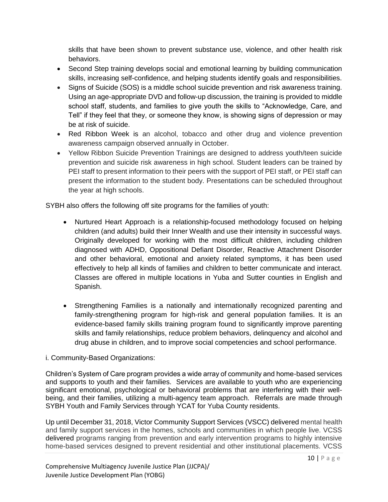skills that have been shown to prevent substance use, violence, and other health risk behaviors.

- Second Step training develops social and emotional learning by building communication skills, increasing self-confidence, and helping students identify goals and responsibilities.
- Signs of Suicide (SOS) is a middle school suicide prevention and risk awareness training. Using an age-appropriate DVD and follow-up discussion, the training is provided to middle school staff, students, and families to give youth the skills to "Acknowledge, Care, and Tell" if they feel that they, or someone they know, is showing signs of depression or may be at risk of suicide.
- Red Ribbon Week is an alcohol, tobacco and other drug and violence prevention awareness campaign observed annually in October.
- Yellow Ribbon Suicide Prevention Trainings are designed to address youth/teen suicide prevention and suicide risk awareness in high school. Student leaders can be trained by PEI staff to present information to their peers with the support of PEI staff, or PEI staff can present the information to the student body. Presentations can be scheduled throughout the year at high schools.

SYBH also offers the following off site programs for the families of youth:

- Nurtured Heart Approach is a relationship-focused methodology focused on helping children (and adults) build their Inner Wealth and use their intensity in successful ways. Originally developed for working with the most difficult children, including children diagnosed with ADHD, Oppositional Defiant Disorder, Reactive Attachment Disorder and other behavioral, emotional and anxiety related symptoms, it has been used effectively to help all kinds of families and children to better communicate and interact. Classes are offered in multiple locations in Yuba and Sutter counties in English and Spanish.
- Strengthening Families is a nationally and internationally recognized parenting and family-strengthening program for high-risk and general population families. It is an evidence-based family skills training program found to significantly improve parenting skills and family relationships, reduce problem behaviors, delinquency and alcohol and drug abuse in children, and to improve social competencies and school performance.

# i. Community-Based Organizations:

Children's System of Care program provides a wide array of community and home-based services and supports to youth and their families. Services are available to youth who are experiencing significant emotional, psychological or behavioral problems that are interfering with their wellbeing, and their families, utilizing a multi-agency team approach. Referrals are made through SYBH Youth and Family Services through YCAT for Yuba County residents.

Up until December 31, 2018, Victor Community Support Services (VSCC) delivered mental health and family support services in the homes, schools and communities in which people live. VCSS delivered programs ranging from prevention and early intervention programs to highly intensive home-based services designed to prevent residential and other institutional placements. VCSS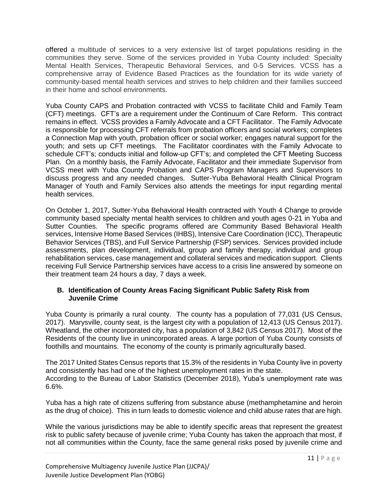offered a multitude of services to a very extensive list of target populations residing in the communities they serve. Some of the services provided in Yuba County included: Specialty Mental Health Services, Therapeutic Behavioral Services, and 0-5 Services. VCSS has a comprehensive array of Evidence Based Practices as the foundation for its wide variety of community-based mental health services and strives to help children and their families succeed in their home and school environments.

Yuba County CAPS and Probation contracted with VCSS to facilitate Child and Family Team (CFT) meetings. CFT's are a requirement under the Continuum of Care Reform. This contract remains in effect. VCSS provides a Family Advocate and a CFT Facilitator. The Family Advocate is responsible for processing CFT referrals from probation officers and social workers; completes a Connection Map with youth, probation officer or social worker; engages natural support for the youth; and sets up CFT meetings. The Facilitator coordinates with the Family Advocate to schedule CFT's; conducts initial and follow-up CFT's; and completed the CFT Meeting Success Plan. On a monthly basis, the Family Advocate, Facilitator and their immediate Supervisor from VCSS meet with Yuba County Probation and CAPS Program Managers and Supervisors to discuss progress and any needed changes. Sutter-Yuba Behavioral Health Clinical Program Manager of Youth and Family Services also attends the meetings for input regarding mental health services.

On October 1, 2017, Sutter-Yuba Behavioral Health contracted with Youth 4 Change to provide community based specialty mental health services to children and youth ages 0-21 in Yuba and Sutter Counties. The specific programs offered are Community Based Behavioral Health services, Intensive Home Based Services (IHBS), Intensive Care Coordination (ICC), Therapeutic Behavior Services (TBS), and Full Service Partnership (FSP) services. Services provided include assessments, plan development, individual, group and family therapy, individual and group rehabilitation services, case management and collateral services and medication support. Clients receiving Full Service Partnership services have access to a crisis line answered by someone on their treatment team 24 hours a day, 7 days a week.

#### **B. Identification of County Areas Facing Significant Public Safety Risk from Juvenile Crime**

Yuba County is primarily a rural county. The county has a population of 77,031 (US Census, 2017). Marysville, county seat, is the largest city with a population of 12,413 (US Census 2017). Wheatland, the other incorporated city, has a population of 3,842 (US Census 2017). Most of the Residents of the county live in unincorporated areas. A large portion of Yuba County consists of foothills and mountains. The economy of the county is primarily agriculturally based.

The 2017 United States Census reports that 15.3% of the residents in Yuba County live in poverty and consistently has had one of the highest unemployment rates in the state. According to the Bureau of Labor Statistics (December 2018), Yuba's unemployment rate was 6.6%.

Yuba has a high rate of citizens suffering from substance abuse (methamphetamine and heroin as the drug of choice). This in turn leads to domestic violence and child abuse rates that are high.

While the various jurisdictions may be able to identify specific areas that represent the greatest risk to public safety because of juvenile crime; Yuba County has taken the approach that most, if not all communities within the County, face the same general risks posed by juvenile crime and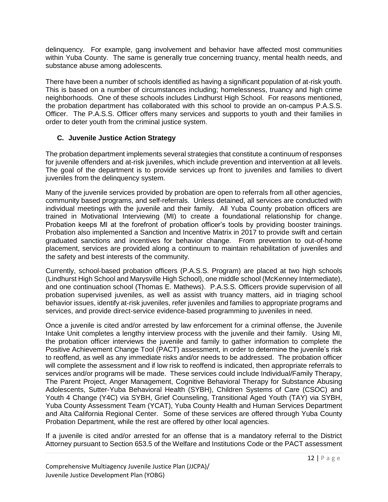delinquency. For example, gang involvement and behavior have affected most communities within Yuba County. The same is generally true concerning truancy, mental health needs, and substance abuse among adolescents.

There have been a number of schools identified as having a significant population of at-risk youth. This is based on a number of circumstances including; homelessness, truancy and high crime neighborhoods. One of these schools includes Lindhurst High School. For reasons mentioned, the probation department has collaborated with this school to provide an on-campus P.A.S.S. Officer. The P.A.S.S. Officer offers many services and supports to youth and their families in order to deter youth from the criminal justice system.

#### **C. Juvenile Justice Action Strategy**

The probation department implements several strategies that constitute a continuum of responses for juvenile offenders and at-risk juveniles, which include prevention and intervention at all levels. The goal of the department is to provide services up front to juveniles and families to divert juveniles from the delinquency system.

Many of the juvenile services provided by probation are open to referrals from all other agencies, community based programs, and self-referrals. Unless detained, all services are conducted with individual meetings with the juvenile and their family. All Yuba County probation officers are trained in Motivational Interviewing (MI) to create a foundational relationship for change. Probation keeps MI at the forefront of probation officer's tools by providing booster trainings. Probation also implemented a Sanction and Incentive Matrix in 2017 to provide swift and certain graduated sanctions and incentives for behavior change. From prevention to out-of-home placement, services are provided along a continuum to maintain rehabilitation of juveniles and the safety and best interests of the community.

Currently, school-based probation officers (P.A.S.S. Program) are placed at two high schools (Lindhurst High School and Marysville High School), one middle school (McKenney Intermediate), and one continuation school (Thomas E. Mathews). P.A.S.S. Officers provide supervision of all probation supervised juveniles, as well as assist with truancy matters, aid in triaging school behavior issues, identify at-risk juveniles, refer juveniles and families to appropriate programs and services, and provide direct-service evidence-based programming to juveniles in need.

Once a juvenile is cited and/or arrested by law enforcement for a criminal offense, the Juvenile Intake Unit completes a lengthy interview process with the juvenile and their family. Using MI, the probation officer interviews the juvenile and family to gather information to complete the Positive Achievement Change Tool (PACT) assessment, in order to determine the juvenile's risk to reoffend, as well as any immediate risks and/or needs to be addressed. The probation officer will complete the assessment and if low risk to reoffend is indicated, then appropriate referrals to services and/or programs will be made. These services could include Individual/Family Therapy, The Parent Project, Anger Management, Cognitive Behavioral Therapy for Substance Abusing Adolescents, Sutter-Yuba Behavioral Health (SYBH), Children Systems of Care (CSOC) and Youth 4 Change (Y4C) via SYBH, Grief Counseling, Transitional Aged Youth (TAY) via SYBH, Yuba County Assessment Team (YCAT), Yuba County Health and Human Services Department and Alta California Regional Center. Some of these services are offered through Yuba County Probation Department, while the rest are offered by other local agencies.

If a juvenile is cited and/or arrested for an offense that is a mandatory referral to the District Attorney pursuant to Section 653.5 of the Welfare and Institutions Code or the PACT assessment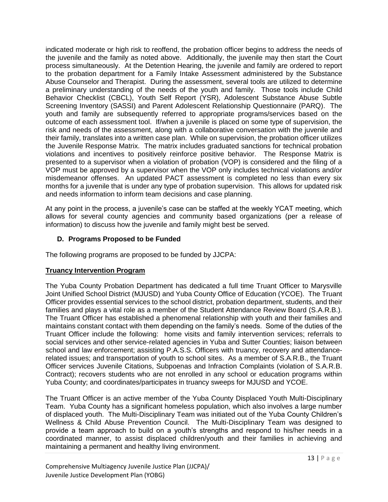indicated moderate or high risk to reoffend, the probation officer begins to address the needs of the juvenile and the family as noted above. Additionally, the juvenile may then start the Court process simultaneously. At the Detention Hearing, the juvenile and family are ordered to report to the probation department for a Family Intake Assessment administered by the Substance Abuse Counselor and Therapist. During the assessment, several tools are utilized to determine a preliminary understanding of the needs of the youth and family. Those tools include Child Behavior Checklist (CBCL), Youth Self Report (YSR), Adolescent Substance Abuse Subtle Screening Inventory (SASSI) and Parent Adolescent Relationship Questionnaire (PARQ). The youth and family are subsequently referred to appropriate programs/services based on the outcome of each assessment tool. If/when a juvenile is placed on some type of supervision, the risk and needs of the assessment, along with a collaborative conversation with the juvenile and their family, translates into a written case plan. While on supervision, the probation officer utilizes the Juvenile Response Matrix. The matrix includes graduated sanctions for technical probation violations and incentives to positively reinforce positive behavior. The Response Matrix is presented to a supervisor when a violation of probation (VOP) is considered and the filing of a VOP must be approved by a supervisor when the VOP only includes technical violations and/or misdemeanor offenses. An updated PACT assessment is completed no less than every six months for a juvenile that is under any type of probation supervision. This allows for updated risk and needs information to inform team decisions and case planning.

At any point in the process, a juvenile's case can be staffed at the weekly YCAT meeting, which allows for several county agencies and community based organizations (per a release of information) to discuss how the juvenile and family might best be served.

## **D. Programs Proposed to be Funded**

The following programs are proposed to be funded by JJCPA:

#### **Truancy Intervention Program**

The Yuba County Probation Department has dedicated a full time Truant Officer to Marysville Joint Unified School District (MJUSD) and Yuba County Office of Education (YCOE). The Truant Officer provides essential services to the school district, probation department, students, and their families and plays a vital role as a member of the Student Attendance Review Board (S.A.R.B.). The Truant Officer has established a phenomenal relationship with youth and their families and maintains constant contact with them depending on the family's needs. Some of the duties of the Truant Officer include the following: home visits and family intervention services; referrals to social services and other service-related agencies in Yuba and Sutter Counties; liaison between school and law enforcement; assisting P.A.S.S. Officers with truancy, recovery and attendancerelated issues; and transportation of youth to school sites. As a member of S.A.R.B., the Truant Officer services Juvenile Citations, Subpoenas and Infraction Complaints (violation of S.A.R.B. Contract); recovers students who are not enrolled in any school or education programs within Yuba County; and coordinates/participates in truancy sweeps for MJUSD and YCOE.

The Truant Officer is an active member of the Yuba County Displaced Youth Multi-Disciplinary Team. Yuba County has a significant homeless population, which also involves a large number of displaced youth. The Multi-Disciplinary Team was initiated out of the Yuba County Children's Wellness & Child Abuse Prevention Council. The Multi-Disciplinary Team was designed to provide a team approach to build on a youth's strengths and respond to his/her needs in a coordinated manner, to assist displaced children/youth and their families in achieving and maintaining a permanent and healthy living environment.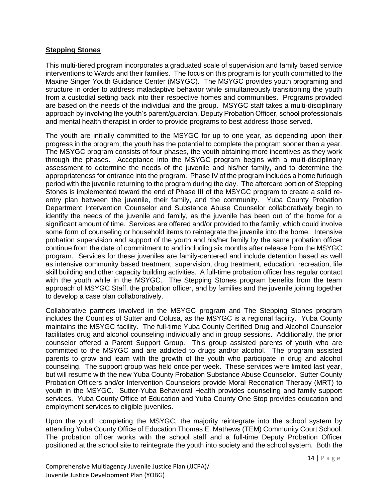#### **Stepping Stones**

This multi-tiered program incorporates a graduated scale of supervision and family based service interventions to Wards and their families. The focus on this program is for youth committed to the Maxine Singer Youth Guidance Center (MSYGC). The MSYGC provides youth programing and structure in order to address maladaptive behavior while simultaneously transitioning the youth from a custodial setting back into their respective homes and communities. Programs provided are based on the needs of the individual and the group. MSYGC staff takes a multi-disciplinary approach by involving the youth's parent/guardian, Deputy Probation Officer, school professionals and mental health therapist in order to provide programs to best address those served.

The youth are initially committed to the MSYGC for up to one year, as depending upon their progress in the program; the youth has the potential to complete the program sooner than a year. The MSYGC program consists of four phases, the youth obtaining more incentives as they work through the phases. Acceptance into the MSYGC program begins with a multi-disciplinary assessment to determine the needs of the juvenile and his/her family, and to determine the appropriateness for entrance into the program. Phase IV of the program includes a home furlough period with the juvenile returning to the program during the day. The aftercare portion of Stepping Stones is implemented toward the end of Phase III of the MSYGC program to create a solid reentry plan between the juvenile, their family, and the community. Yuba County Probation Department Intervention Counselor and Substance Abuse Counselor collaboratively begin to identify the needs of the juvenile and family, as the juvenile has been out of the home for a significant amount of time. Services are offered and/or provided to the family, which could involve some form of counseling or household items to reintegrate the juvenile into the home. Intensive probation supervision and support of the youth and his/her family by the same probation officer continue from the date of commitment to and including six months after release from the MSYGC program. Services for these juveniles are family-centered and include detention based as well as intensive community based treatment, supervision, drug treatment, education, recreation, life skill building and other capacity building activities. A full-time probation officer has regular contact with the youth while in the MSYGC. The Stepping Stones program benefits from the team approach of MSYGC Staff, the probation officer, and by families and the juvenile joining together to develop a case plan collaboratively.

Collaborative partners involved in the MSYGC program and The Stepping Stones program includes the Counties of Sutter and Colusa, as the MSYGC is a regional facility. Yuba County maintains the MSYGC facility. The full-time Yuba County Certified Drug and Alcohol Counselor facilitates drug and alcohol counseling individually and in group sessions. Additionally, the prior counselor offered a Parent Support Group. This group assisted parents of youth who are committed to the MSYGC and are addicted to drugs and/or alcohol. The program assisted parents to grow and learn with the growth of the youth who participate in drug and alcohol counseling. The support group was held once per week. These services were limited last year, but will resume with the new Yuba County Probation Substance Abuse Counselor. Sutter County Probation Officers and/or Intervention Counselors provide Moral Reconation Therapy (MRT) to youth in the MSYGC. Sutter-Yuba Behavioral Health provides counseling and family support services. Yuba County Office of Education and Yuba County One Stop provides education and employment services to eligible juveniles.

Upon the youth completing the MSYGC, the majority reintegrate into the school system by attending Yuba County Office of Education Thomas E. Mathews (TEM) Community Court School. The probation officer works with the school staff and a full-time Deputy Probation Officer positioned at the school site to reintegrate the youth into society and the school system. Both the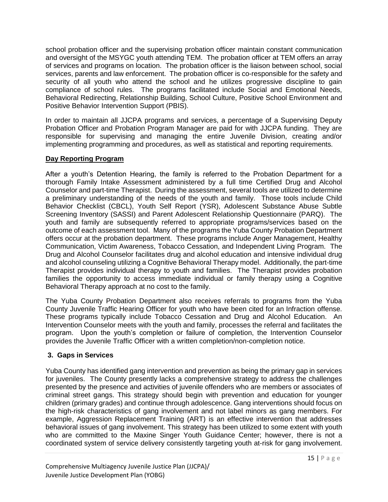school probation officer and the supervising probation officer maintain constant communication and oversight of the MSYGC youth attending TEM. The probation officer at TEM offers an array of services and programs on location. The probation officer is the liaison between school, social services, parents and law enforcement. The probation officer is co-responsible for the safety and security of all youth who attend the school and he utilizes progressive discipline to gain compliance of school rules. The programs facilitated include Social and Emotional Needs, Behavioral Redirecting, Relationship Building, School Culture, Positive School Environment and Positive Behavior Intervention Support (PBIS).

In order to maintain all JJCPA programs and services, a percentage of a Supervising Deputy Probation Officer and Probation Program Manager are paid for with JJCPA funding. They are responsible for supervising and managing the entire Juvenile Division, creating and/or implementing programming and procedures, as well as statistical and reporting requirements.

#### **Day Reporting Program**

After a youth's Detention Hearing, the family is referred to the Probation Department for a thorough Family Intake Assessment administered by a full time Certified Drug and Alcohol Counselor and part-time Therapist. During the assessment, several tools are utilized to determine a preliminary understanding of the needs of the youth and family. Those tools include Child Behavior Checklist (CBCL), Youth Self Report (YSR), Adolescent Substance Abuse Subtle Screening Inventory (SASSI) and Parent Adolescent Relationship Questionnaire (PARQ). The youth and family are subsequently referred to appropriate programs/services based on the outcome of each assessment tool. Many of the programs the Yuba County Probation Department offers occur at the probation department. These programs include Anger Management, Healthy Communication, Victim Awareness, Tobacco Cessation, and Independent Living Program. The Drug and Alcohol Counselor facilitates drug and alcohol education and intensive individual drug and alcohol counseling utilizing a Cognitive Behavioral Therapy model. Additionally, the part-time Therapist provides individual therapy to youth and families. The Therapist provides probation families the opportunity to access immediate individual or family therapy using a Cognitive Behavioral Therapy approach at no cost to the family.

The Yuba County Probation Department also receives referrals to programs from the Yuba County Juvenile Traffic Hearing Officer for youth who have been cited for an Infraction offense. These programs typically include Tobacco Cessation and Drug and Alcohol Education. An Intervention Counselor meets with the youth and family, processes the referral and facilitates the program. Upon the youth's completion or failure of completion, the Intervention Counselor provides the Juvenile Traffic Officer with a written completion/non-completion notice.

# **3. Gaps in Services**

Yuba County has identified gang intervention and prevention as being the primary gap in services for juveniles. The County presently lacks a comprehensive strategy to address the challenges presented by the presence and activities of juvenile offenders who are members or associates of criminal street gangs. This strategy should begin with prevention and education for younger children (primary grades) and continue through adolescence. Gang interventions should focus on the high-risk characteristics of gang involvement and not label minors as gang members. For example, Aggression Replacement Training (ART) is an effective intervention that addresses behavioral issues of gang involvement. This strategy has been utilized to some extent with youth who are committed to the Maxine Singer Youth Guidance Center; however, there is not a coordinated system of service delivery consistently targeting youth at-risk for gang involvement.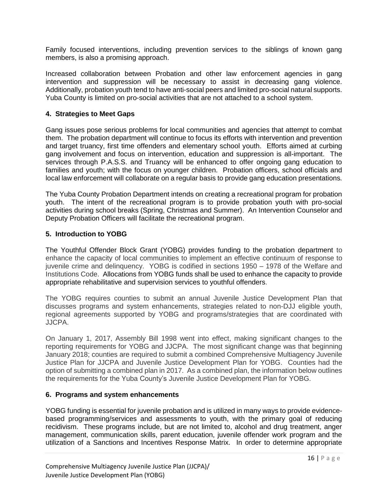Family focused interventions, including prevention services to the siblings of known gang members, is also a promising approach.

Increased collaboration between Probation and other law enforcement agencies in gang intervention and suppression will be necessary to assist in decreasing gang violence. Additionally, probation youth tend to have anti-social peers and limited pro-social natural supports. Yuba County is limited on pro-social activities that are not attached to a school system.

#### **4. Strategies to Meet Gaps**

Gang issues pose serious problems for local communities and agencies that attempt to combat them. The probation department will continue to focus its efforts with intervention and prevention and target truancy, first time offenders and elementary school youth. Efforts aimed at curbing gang involvement and focus on intervention, education and suppression is all-important. The services through P.A.S.S. and Truancy will be enhanced to offer ongoing gang education to families and youth; with the focus on younger children. Probation officers, school officials and local law enforcement will collaborate on a regular basis to provide gang education presentations.

The Yuba County Probation Department intends on creating a recreational program for probation youth. The intent of the recreational program is to provide probation youth with pro-social activities during school breaks (Spring, Christmas and Summer). An Intervention Counselor and Deputy Probation Officers will facilitate the recreational program.

#### **5. Introduction to YOBG**

The Youthful Offender Block Grant (YOBG) provides funding to the probation department to enhance the capacity of local communities to implement an effective continuum of response to juvenile crime and delinquency. YOBG is codified in sections 1950 – 1978 of the Welfare and Institutions Code. Allocations from YOBG funds shall be used to enhance the capacity to provide appropriate rehabilitative and supervision services to youthful offenders.

The YOBG requires counties to submit an annual Juvenile Justice Development Plan that discusses programs and system enhancements, strategies related to non-DJJ eligible youth, regional agreements supported by YOBG and programs/strategies that are coordinated with JJCPA.

On January 1, 2017, Assembly Bill 1998 went into effect, making significant changes to the reporting requirements for YOBG and JJCPA. The most significant change was that beginning January 2018; counties are required to submit a combined Comprehensive Multiagency Juvenile Justice Plan for JJCPA and Juvenile Justice Development Plan for YOBG. Counties had the option of submitting a combined plan in 2017. As a combined plan, the information below outlines the requirements for the Yuba County's Juvenile Justice Development Plan for YOBG.

#### **6. Programs and system enhancements**

YOBG funding is essential for juvenile probation and is utilized in many ways to provide evidencebased programming/services and assessments to youth, with the primary goal of reducing recidivism. These programs include, but are not limited to, alcohol and drug treatment, anger management, communication skills, parent education, juvenile offender work program and the utilization of a Sanctions and Incentives Response Matrix. In order to determine appropriate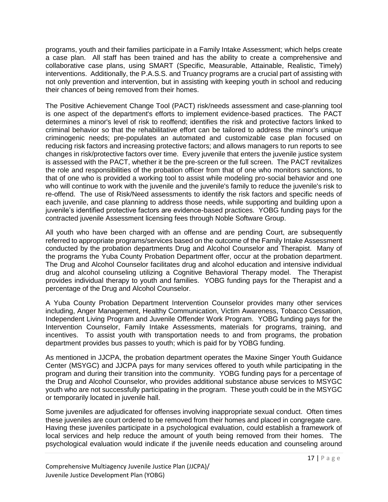programs, youth and their families participate in a Family Intake Assessment; which helps create a case plan. All staff has been trained and has the ability to create a comprehensive and collaborative case plans, using SMART (Specific, Measurable, Attainable, Realistic, Timely) interventions. Additionally, the P.A.S.S. and Truancy programs are a crucial part of assisting with not only prevention and intervention, but in assisting with keeping youth in school and reducing their chances of being removed from their homes.

The Positive Achievement Change Tool (PACT) risk/needs assessment and case-planning tool is one aspect of the department's efforts to implement evidence-based practices. The PACT determines a minor's level of risk to reoffend; identifies the risk and protective factors linked to criminal behavior so that the rehabilitative effort can be tailored to address the minor's unique criminogenic needs; pre-populates an automated and customizable case plan focused on reducing risk factors and increasing protective factors; and allows managers to run reports to see changes in risk/protective factors over time. Every juvenile that enters the juvenile justice system is assessed with the PACT, whether it be the pre-screen or the full screen. The PACT revitalizes the role and responsibilities of the probation officer from that of one who monitors sanctions, to that of one who is provided a working tool to assist while modeling pro-social behavior and one who will continue to work with the juvenile and the juvenile's family to reduce the juvenile's risk to re-offend. The use of Risk/Need assessments to identify the risk factors and specific needs of each juvenile, and case planning to address those needs, while supporting and building upon a juvenile's identified protective factors are evidence-based practices. YOBG funding pays for the contracted juvenile Assessment licensing fees through Noble Software Group.

All youth who have been charged with an offense and are pending Court, are subsequently referred to appropriate programs/services based on the outcome of the Family Intake Assessment conducted by the probation departments Drug and Alcohol Counselor and Therapist. Many of the programs the Yuba County Probation Department offer, occur at the probation department. The Drug and Alcohol Counselor facilitates drug and alcohol education and intensive individual drug and alcohol counseling utilizing a Cognitive Behavioral Therapy model. The Therapist provides individual therapy to youth and families. YOBG funding pays for the Therapist and a percentage of the Drug and Alcohol Counselor.

A Yuba County Probation Department Intervention Counselor provides many other services including, Anger Management, Healthy Communication, Victim Awareness, Tobacco Cessation, Independent Living Program and Juvenile Offender Work Program. YOBG funding pays for the Intervention Counselor, Family Intake Assessments, materials for programs, training, and incentives. To assist youth with transportation needs to and from programs, the probation department provides bus passes to youth; which is paid for by YOBG funding.

As mentioned in JJCPA, the probation department operates the Maxine Singer Youth Guidance Center (MSYGC) and JJCPA pays for many services offered to youth while participating in the program and during their transition into the community. YOBG funding pays for a percentage of the Drug and Alcohol Counselor, who provides additional substance abuse services to MSYGC youth who are not successfully participating in the program. These youth could be in the MSYGC or temporarily located in juvenile hall.

Some juveniles are adjudicated for offenses involving inappropriate sexual conduct. Often times these juveniles are court ordered to be removed from their homes and placed in congregate care. Having these juveniles participate in a psychological evaluation, could establish a framework of local services and help reduce the amount of youth being removed from their homes. The psychological evaluation would indicate if the juvenile needs education and counseling around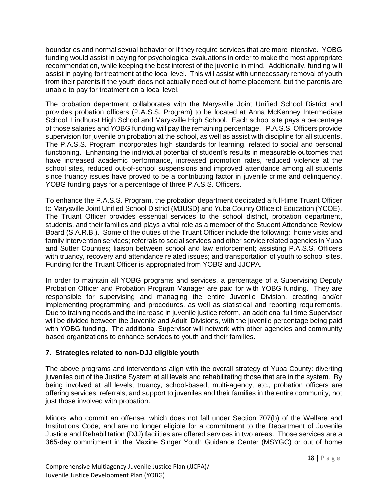boundaries and normal sexual behavior or if they require services that are more intensive. YOBG funding would assist in paying for psychological evaluations in order to make the most appropriate recommendation, while keeping the best interest of the juvenile in mind. Additionally, funding will assist in paying for treatment at the local level. This will assist with unnecessary removal of youth from their parents if the youth does not actually need out of home placement, but the parents are unable to pay for treatment on a local level.

The probation department collaborates with the Marysville Joint Unified School District and provides probation officers (P.A.S.S. Program) to be located at Anna McKenney Intermediate School, Lindhurst High School and Marysville High School. Each school site pays a percentage of those salaries and YOBG funding will pay the remaining percentage. P.A.S.S. Officers provide supervision for juvenile on probation at the school, as well as assist with discipline for all students. The P.A.S.S. Program incorporates high standards for learning, related to social and personal functioning. Enhancing the individual potential of student's results in measurable outcomes that have increased academic performance, increased promotion rates, reduced violence at the school sites, reduced out-of-school suspensions and improved attendance among all students since truancy issues have proved to be a contributing factor in juvenile crime and delinquency. YOBG funding pays for a percentage of three P.A.S.S. Officers.

To enhance the P.A.S.S. Program, the probation department dedicated a full-time Truant Officer to Marysville Joint Unified School District (MJUSD) and Yuba County Office of Education (YCOE). The Truant Officer provides essential services to the school district, probation department, students, and their families and plays a vital role as a member of the Student Attendance Review Board (S.A.R.B.). Some of the duties of the Truant Officer include the following: home visits and family intervention services; referrals to social services and other service related agencies in Yuba and Sutter Counties; liaison between school and law enforcement; assisting P.A.S.S. Officers with truancy, recovery and attendance related issues; and transportation of youth to school sites. Funding for the Truant Officer is appropriated from YOBG and JJCPA.

In order to maintain all YOBG programs and services, a percentage of a Supervising Deputy Probation Officer and Probation Program Manager are paid for with YOBG funding. They are responsible for supervising and managing the entire Juvenile Division, creating and/or implementing programming and procedures, as well as statistical and reporting requirements. Due to training needs and the increase in juvenile justice reform, an additional full time Supervisor will be divided between the Juvenile and Adult Divisions, with the juvenile percentage being paid with YOBG funding. The additional Supervisor will network with other agencies and community based organizations to enhance services to youth and their families.

#### **7. Strategies related to non-DJJ eligible youth**

The above programs and interventions align with the overall strategy of Yuba County: diverting juveniles out of the Justice System at all levels and rehabilitating those that are in the system. By being involved at all levels; truancy, school-based, multi-agency, etc., probation officers are offering services, referrals, and support to juveniles and their families in the entire community, not just those involved with probation.

Minors who commit an offense, which does not fall under Section 707(b) of the Welfare and Institutions Code, and are no longer eligible for a commitment to the Department of Juvenile Justice and Rehabilitation (DJJ) facilities are offered services in two areas. Those services are a 365-day commitment in the Maxine Singer Youth Guidance Center (MSYGC) or out of home